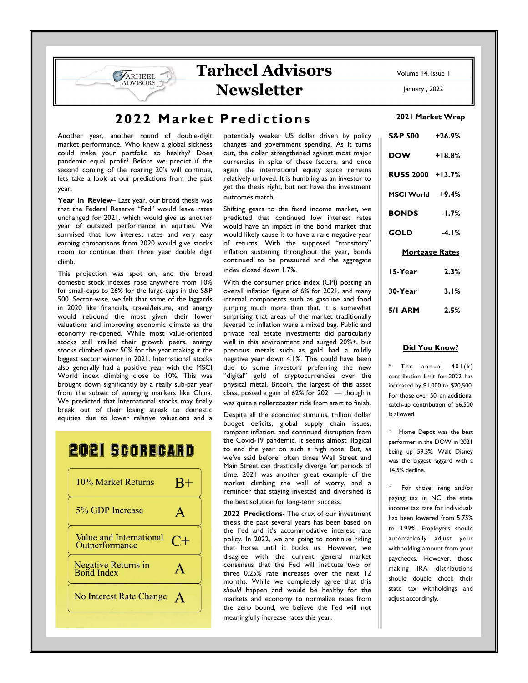**Tarheel Advisors** 

**Newsletter** 

# 2022 Market Predictions

Another year, another round of double-digit market performance. Who knew a global sickness could make your portfolio so healthy? Does pandemic equal profit? Before we predict if the second coming of the roaring 20's will continue, lets take a look at our predictions from the past year.

ARHEEL

Year in Review- Last year, our broad thesis was that the Federal Reserve "Fed" would leave rates unchanged for 2021, which would give us another year of outsized performance in equities. We surmised that low interest rates and very easy earning comparisons from 2020 would give stocks room to continue their three year double digit climb.

This projection was spot on, and the broad domestic stock indexes rose anywhere from 10% for small-caps to 26% for the large-caps in the S&P 500. Sector-wise, we felt that some of the laggards in 2020 like financials, travel/leisure, and energy would rebound the most given their lower valuations and improving economic climate as the economy re-opened. While most value-oriented stocks still trailed their growth peers, energy stocks climbed over 50% for the year making it the biggest sector winner in 2021. International stocks also generally had a positive year with the MSCI World index climbing close to 10%. This was brought down significantly by a really sub-par year from the subset of emerging markets like China. We predicted that International stocks may finally break out of their losing streak to domestic equities due to lower relative valuations and a

# **2021 SCORECARD**



potentially weaker US dollar driven by policy changes and government spending. As it turns out, the dollar strengthened against most major currencies in spite of these factors, and once again, the international equity space remains relatively unloved. It is humbling as an investor to get the thesis right, but not have the investment outcomes match.

Shifting gears to the fixed income market, we predicted that continued low interest rates would have an impact in the bond market that would likely cause it to have a rare negative year of returns. With the supposed "transitory" inflation sustaining throughout the year, bonds continued to be pressured and the aggregate index closed down 1.7%.

With the consumer price index (CPI) posting an overall inflation figure of 6% for 2021, and many internal components such as gasoline and food jumping much more than that, it is somewhat surprising that areas of the market traditionally levered to inflation were a mixed bag. Public and private real estate investments did particularly well in this environment and surged 20%+, but precious metals such as gold had a mildly negative year down 4.1%. This could have been due to some investors preferring the new "digital" gold of cryptocurrencies over the physical metal. Bitcoin, the largest of this asset class, posted a gain of 62% for 2021 — though it was quite a rollercoaster ride from start to finish.

Despite all the economic stimulus, trillion dollar budget deficits, global supply chain issues, rampant inflation, and continued disruption from the Covid-19 pandemic, it seems almost illogical to end the year on such a high note. But, as we've said before, often times Wall Street and Main Street can drastically diverge for periods of time. 2021 was another great example of the market climbing the wall of worry, and a reminder that staying invested and diversified is the best solution for long-term success.

2022 Predictions- The crux of our investment thesis the past several years has been based on the Fed and it's accommodative interest rate policy. In 2022, we are going to continue riding that horse until it bucks us. However, we disagree with the current general market consensus that the Fed will institute two or three 0.25% rate increases over the next 12 months. While we completely agree that this should happen and would be healthy for the markets and economy to normalize rates from the zero bound, we believe the Fed will not meaningfully increase rates this year.

Volume 14, Issue 1

January , 2022

### 2021 Market Wrap

| S&P 500 +26.9%        |          |  |  |  |  |  |
|-----------------------|----------|--|--|--|--|--|
| <b>DOW</b>            | $+18.8%$ |  |  |  |  |  |
| RUSS 2000 +13.7%      |          |  |  |  |  |  |
| MSCI World +9.4%      |          |  |  |  |  |  |
| <b>BONDS</b>          | $-1.7%$  |  |  |  |  |  |
| <b>GOLD</b>           | $-4.1%$  |  |  |  |  |  |
| <b>Mortgage Rates</b> |          |  |  |  |  |  |
| 15-Year               | 2.3%     |  |  |  |  |  |
| 30-Year               | 3.1%     |  |  |  |  |  |
| 5/1 ARM 2.5%          |          |  |  |  |  |  |

## Did You Know?

The annual  $401(k)$ contribution limit for 2022 has increased by \$1,000 to \$20,500. For those over 50, an additional catch-up contribution of \$6,500 is allowed.

\* Home Depot was the best performer in the DOW in 2021 being up 59.5%. Walt Disney was the biggest laggard with a 14.5% decline.

For those living and/or paying tax in NC, the state income tax rate for individuals has been lowered from 5.75% to 3.99%. Employers should automatically adjust your withholding amount from your paychecks. However, those making IRA distributions should double check their state tax withholdings and adjust accordingly.